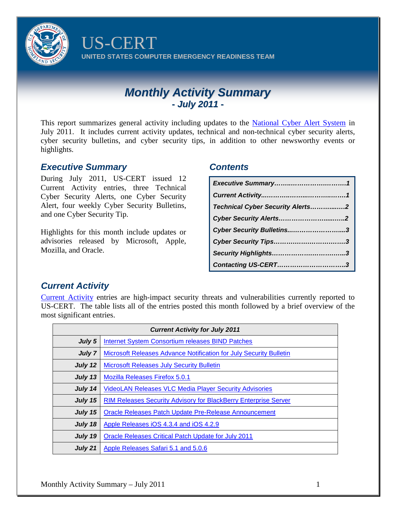

US-CERT **UNITED STATES COMPUTER EMERGENCY READINESS TEAM**

# *Monthly Activity Summary - July 2011 -*

This report summarizes general activity including updates to the [National Cyber Alert System](http://www.us-cert.gov/cas/alldocs.html) in July 2011. It includes current activity updates, technical and non-technical cyber security alerts, cyber security bulletins, and cyber security tips, in addition to other newsworthy events or highlights.

#### *Executive Summary*

During July 2011, US-CERT issued 12 Current Activity entries, three Technical Cyber Security Alerts, one Cyber Security Alert, four weekly Cyber Security Bulletins, and one Cyber Security Tip.

Highlights for this month include updates or advisories released by Microsoft, Apple, Mozilla, and Oracle.

#### *Contents*

| <b>Technical Cyber Security Alerts2</b> |
|-----------------------------------------|
|                                         |
| Cyber Security Bulletins3               |
|                                         |
|                                         |
| Contacting US-CERT3                     |

# *Current Activity*

[Current Activity](http://www.us-cert.gov/current/index.html) entries are high-impact security threats and vulnerabilities currently reported to US-CERT. The table lists all of the entries posted this month followed by a brief overview of the most significant entries.

| <b>Current Activity for July 2011</b> |                                                                           |  |
|---------------------------------------|---------------------------------------------------------------------------|--|
| July 5                                | Internet System Consortium releases BIND Patches                          |  |
| July 7                                | <b>Microsoft Releases Advance Notification for July Security Bulletin</b> |  |
| July 12                               | <b>Microsoft Releases July Security Bulletin</b>                          |  |
| July 13                               | <b>Mozilla Releases Firefox 5.0.1</b>                                     |  |
| July 14                               | <b>VideoLAN Releases VLC Media Player Security Advisories</b>             |  |
| July 15                               | <b>RIM Releases Security Advisory for BlackBerry Enterprise Server</b>    |  |
| July 15                               | Oracle Releases Patch Update Pre-Release Announcement                     |  |
| July 18                               | Apple Releases iOS 4.3.4 and iOS 4.2.9                                    |  |
| July 19                               | <b>Oracle Releases Critical Patch Update for July 2011</b>                |  |
| July 21                               | Apple Releases Safari 5.1 and 5.0.6                                       |  |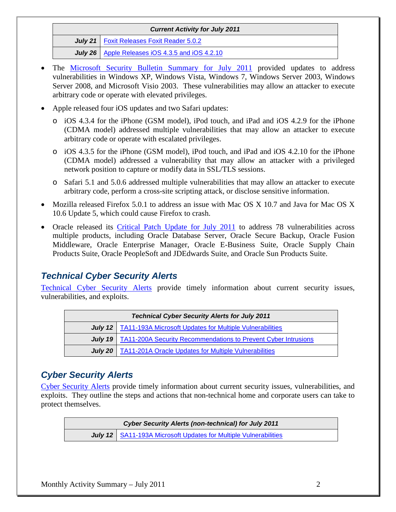| <b>Current Activity for July 2011</b>                    |
|----------------------------------------------------------|
| July 21   Foxit Releases Foxit Reader 5.0.2              |
| <b>July 26</b>   Apple Releases iOS 4.3.5 and iOS 4.2.10 |

- The [Microsoft Security Bulletin Summary for July](https://www.microsoft.com/technet/security/bulletin/ms11-jul.mspx) 2011 provided updates to address vulnerabilities in Windows XP, Windows Vista, Windows 7, Windows Server 2003, Windows Server 2008, and Microsoft Visio 2003. These vulnerabilities may allow an attacker to execute arbitrary code or operate with elevated privileges.
- Apple released four iOS updates and two Safari updates:
	- o iOS 4.3.4 for the iPhone (GSM model), iPod touch, and iPad and iOS 4.2.9 for the iPhone (CDMA model) addressed multiple vulnerabilities that may allow an attacker to execute arbitrary code or operate with escalated privileges.
	- o iOS 4.3.5 for the iPhone (GSM model), iPod touch, and iPad and iOS 4.2.10 for the iPhone (CDMA model) addressed a vulnerability that may allow an attacker with a privileged network position to capture or modify data in SSL/TLS sessions.
	- o Safari 5.1 and 5.0.6 addressed multiple vulnerabilities that may allow an attacker to execute arbitrary code, perform a cross-site scripting attack, or disclose sensitive information.
- Mozilla released Firefox 5.0.1 to address an issue with Mac OS X 10.7 and Java for Mac OS X 10.6 Update 5, which could cause Firefox to crash.
- Oracle released its [Critical Patch Update for July 2011](http://www.oracle.com/technetwork/topics/security/cpujuly2011-313328.html) to address 78 vulnerabilities across multiple products, including Oracle Database Server, Oracle Secure Backup, Oracle Fusion Middleware, Oracle Enterprise Manager, Oracle E-Business Suite, Oracle Supply Chain Products Suite, Oracle PeopleSoft and JDEdwards Suite, and Oracle Sun Products Suite.

# *Technical Cyber Security Alerts*

[Technical Cyber Security Alerts](http://www.us-cert.gov/cas/techalerts/index.html) provide timely information about current security issues, vulnerabilities, and exploits.

| <b>Technical Cyber Security Alerts for July 2011</b> |                                                                                 |  |
|------------------------------------------------------|---------------------------------------------------------------------------------|--|
|                                                      | July 12   TA11-193A Microsoft Updates for Multiple Vulnerabilities              |  |
|                                                      | <b>July 19</b>   TA11-200A Security Recommendations to Prevent Cyber Intrusions |  |
|                                                      | July 20   TA11-201A Oracle Updates for Multiple Vulnerabilities                 |  |

# *Cyber Security Alerts*

[Cyber Security Alerts](http://www.us-cert.gov/cas/alerts/) provide timely information about current security issues, vulnerabilities, and exploits. They outline the steps and actions that non-technical home and corporate users can take to protect themselves.

> *Cyber Security Alerts (non-technical) for July 2011* **July 12** [SA11-193A Microsoft Updates for Multiple Vulnerabilities](http://www.us-cert.gov/cas/alerts/SA11-193A.html)